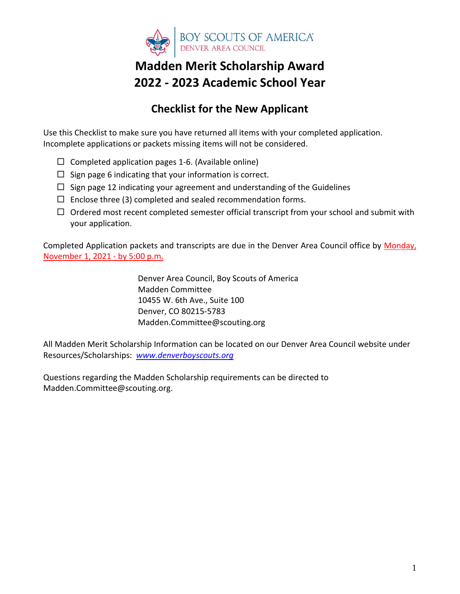

# **Madden Merit Scholarship Award 2022 - 2023 Academic School Year**

# **Checklist for the New Applicant**

Use this Checklist to make sure you have returned all items with your completed application. Incomplete applications or packets missing items will not be considered.

- $\Box$  Completed application pages 1-6. (Available online)
- $\Box$  Sign page 6 indicating that your information is correct.
- $\Box$  Sign page 12 indicating your agreement and understanding of the Guidelines
- $\Box$  Enclose three (3) completed and sealed recommendation forms.
- $\Box$  Ordered most recent completed semester official transcript from your school and submit with your application.

Completed Application packets and transcripts are due in the Denver Area Council office by Monday, November 1, 2021 - by 5:00 p.m.

> Denver Area Council, Boy Scouts of America Madden Committee 10455 W. 6th Ave., Suite 100 Denver, CO 80215-5783 Madden.Committee@scouting.org

All Madden Merit Scholarship Information can be located on our Denver Area Council website under Resources/Scholarships: *[www.denverboyscouts.org](http://www.denverboyscouts.org/)*

Questions regarding the Madden Scholarship requirements can be directed to Madden.Committee@scouting.org.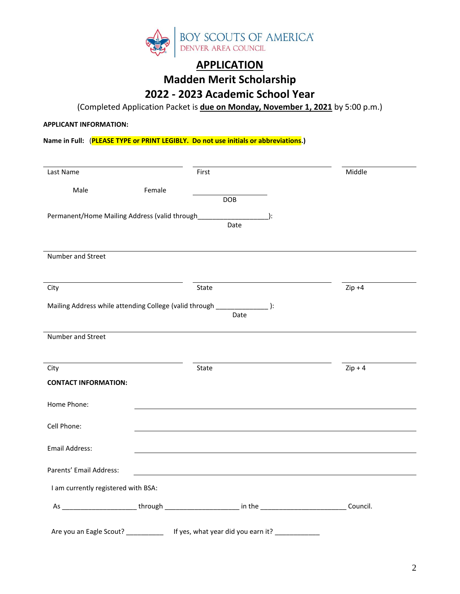

# **APPLICATION Madden Merit Scholarship 2022 - 2023 Academic School Year**

(Completed Application Packet is **due on Monday, November 1, 2021** by 5:00 p.m.)

#### **APPLICANT INFORMATION:**

**Name in Full:** (**PLEASE TYPE or PRINT LEGIBLY. Do not use initials or abbreviations.)**

| Last Name                                                                |                  | First                              | Middle    |
|--------------------------------------------------------------------------|------------------|------------------------------------|-----------|
| Male                                                                     | Female           | <b>DOB</b>                         |           |
|                                                                          |                  | Date                               |           |
| Number and Street                                                        |                  |                                    |           |
|                                                                          |                  |                                    |           |
| City                                                                     |                  | State                              | $Zip +4$  |
| Mailing Address while attending College (valid through _______________): |                  | Date                               |           |
| Number and Street                                                        |                  |                                    |           |
| City                                                                     |                  | State                              | $Zip + 4$ |
| <b>CONTACT INFORMATION:</b>                                              |                  |                                    |           |
| Home Phone:                                                              |                  |                                    |           |
| Cell Phone:                                                              |                  |                                    |           |
| Email Address:                                                           |                  |                                    |           |
| Parents' Email Address:                                                  |                  |                                    |           |
| I am currently registered with BSA:                                      |                  |                                    |           |
|                                                                          |                  |                                    | Council.  |
| Are you an Eagle Scout? _                                                | ________________ | If yes, what year did you earn it? |           |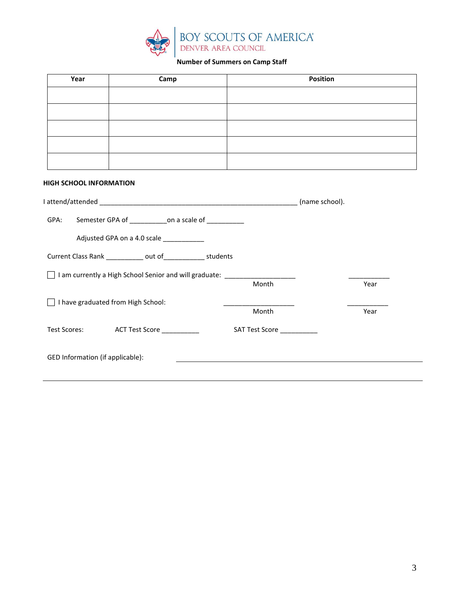

#### **Number of Summers on Camp Staff**

| Year                                        | Camp                                                                             |                | <b>Position</b> |      |  |  |
|---------------------------------------------|----------------------------------------------------------------------------------|----------------|-----------------|------|--|--|
|                                             |                                                                                  |                |                 |      |  |  |
|                                             |                                                                                  |                |                 |      |  |  |
|                                             |                                                                                  |                |                 |      |  |  |
|                                             |                                                                                  |                |                 |      |  |  |
|                                             |                                                                                  |                |                 |      |  |  |
| <b>HIGH SCHOOL INFORMATION</b>              |                                                                                  |                |                 |      |  |  |
|                                             |                                                                                  |                |                 |      |  |  |
| GPA:                                        | Semester GPA of _____________on a scale of ___________                           |                |                 |      |  |  |
|                                             | Adjusted GPA on a 4.0 scale ___________                                          |                |                 |      |  |  |
|                                             | Current Class Rank _____________ out of_______________ students                  |                |                 |      |  |  |
|                                             | I am currently a High School Senior and will graduate: _________________________ |                |                 |      |  |  |
| Month<br>Year                               |                                                                                  |                |                 |      |  |  |
| I have graduated from High School:<br>Month |                                                                                  |                |                 | Year |  |  |
|                                             |                                                                                  |                |                 |      |  |  |
| Test Scores:                                | ACT Test Score ___________                                                       | SAT Test Score |                 |      |  |  |
| GED Information (if applicable):            |                                                                                  |                |                 |      |  |  |
|                                             |                                                                                  |                |                 |      |  |  |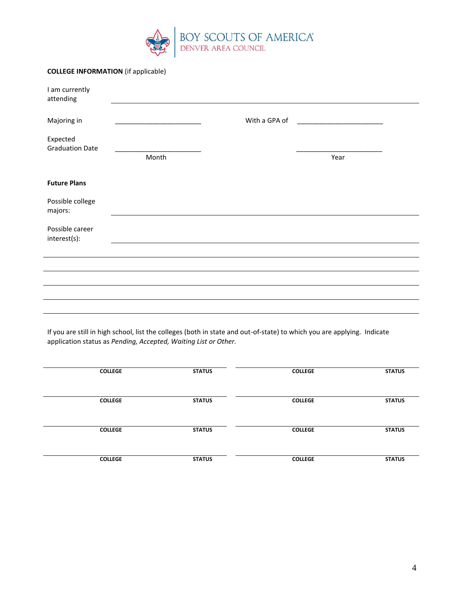

| <b>COLLEGE INFORMATION</b> (if applicable) |  |
|--------------------------------------------|--|
|--------------------------------------------|--|

| I am currently<br>attending        |       |               |                                                       |  |
|------------------------------------|-------|---------------|-------------------------------------------------------|--|
| Majoring in                        |       | With a GPA of | <u> 1980 - Jan Stein Berlin, amerikansk politiker</u> |  |
| Expected<br><b>Graduation Date</b> |       |               |                                                       |  |
|                                    | Month |               | Year                                                  |  |
| <b>Future Plans</b>                |       |               |                                                       |  |
| Possible college<br>majors:        |       |               |                                                       |  |
| Possible career<br>interest(s):    |       |               |                                                       |  |
|                                    |       |               |                                                       |  |
|                                    |       |               |                                                       |  |
|                                    |       |               |                                                       |  |
|                                    |       |               |                                                       |  |

If you are still in high school, list the colleges (both in state and out-of-state) to which you are applying. Indicate application status as *Pending, Accepted, Waiting List or Other.*

| <b>COLLEGE</b> | <b>STATUS</b> | <b>COLLEGE</b> | <b>STATUS</b> |
|----------------|---------------|----------------|---------------|
|                |               |                |               |
| <b>COLLEGE</b> | <b>STATUS</b> | <b>COLLEGE</b> | <b>STATUS</b> |
|                |               |                |               |
| <b>COLLEGE</b> | <b>STATUS</b> | <b>COLLEGE</b> | <b>STATUS</b> |
|                |               |                |               |
| <b>COLLEGE</b> | <b>STATUS</b> | <b>COLLEGE</b> | <b>STATUS</b> |
|                |               |                |               |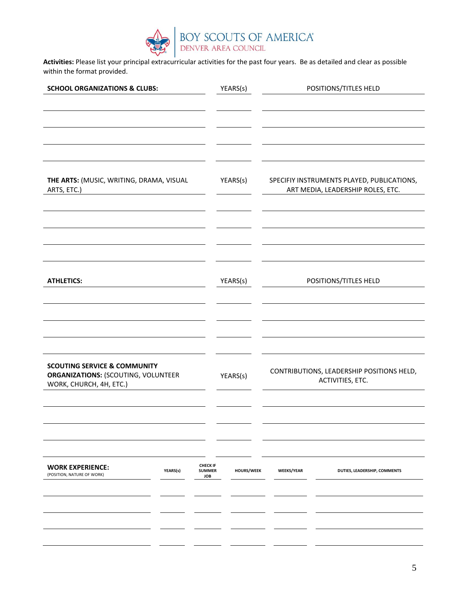

**Activities:** Please list your principal extracurricular activities for the past four years. Be as detailed and clear as possible within the format provided.

| <b>SCHOOL ORGANIZATIONS &amp; CLUBS:</b>                                                                         |          |                      | YEARS(s)          |                   | POSITIONS/TITLES HELD                                                           |
|------------------------------------------------------------------------------------------------------------------|----------|----------------------|-------------------|-------------------|---------------------------------------------------------------------------------|
|                                                                                                                  |          |                      |                   |                   |                                                                                 |
|                                                                                                                  |          |                      |                   |                   |                                                                                 |
|                                                                                                                  |          |                      |                   |                   |                                                                                 |
| THE ARTS: (MUSIC, WRITING, DRAMA, VISUAL<br>ARTS, ETC.)                                                          |          |                      | YEARS(s)          |                   | SPECIFIY INSTRUMENTS PLAYED, PUBLICATIONS,<br>ART MEDIA, LEADERSHIP ROLES, ETC. |
|                                                                                                                  |          |                      |                   |                   |                                                                                 |
|                                                                                                                  |          |                      |                   |                   |                                                                                 |
|                                                                                                                  |          |                      |                   |                   |                                                                                 |
| <b>ATHLETICS:</b>                                                                                                |          |                      | YEARS(s)          |                   | POSITIONS/TITLES HELD                                                           |
|                                                                                                                  |          |                      |                   |                   |                                                                                 |
|                                                                                                                  |          |                      |                   |                   |                                                                                 |
| <b>SCOUTING SERVICE &amp; COMMUNITY</b><br><b>ORGANIZATIONS: (SCOUTING, VOLUNTEER</b><br>WORK, CHURCH, 4H, ETC.) |          |                      | YEARS(s)          |                   | CONTRIBUTIONS, LEADERSHIP POSITIONS HELD,<br>ACTIVITIES, ETC.                   |
|                                                                                                                  |          |                      |                   |                   |                                                                                 |
|                                                                                                                  |          |                      |                   |                   |                                                                                 |
|                                                                                                                  |          |                      |                   |                   |                                                                                 |
| (POSITION, NATURE OF WORK)                                                                                       | YEARS(s) | <b>SUMMER</b><br>JOB | <b>HOURS/WEEK</b> | <b>WEEKS/YEAR</b> | DUTIES, LEADERSHIP, COMMENTS                                                    |
|                                                                                                                  |          |                      |                   |                   |                                                                                 |
|                                                                                                                  |          |                      |                   |                   |                                                                                 |
| <b>WORK EXPERIENCE:</b>                                                                                          |          | <b>CHECK IF</b>      |                   |                   |                                                                                 |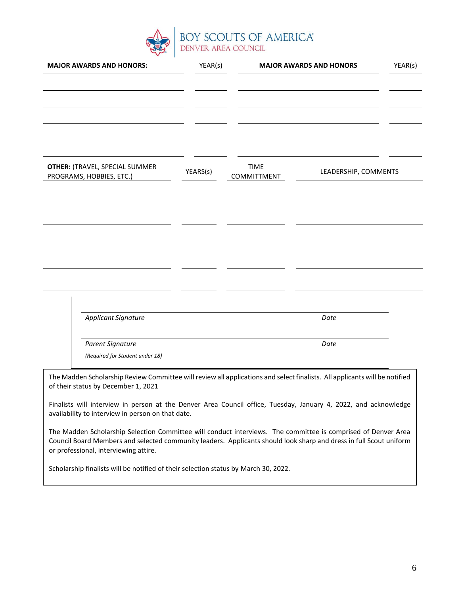

| <b>MAJOR AWARDS AND HONORS:</b>                                   | YEAR(s)  |                            | <b>MAJOR AWARDS AND HONORS</b> | YEAR(s) |
|-------------------------------------------------------------------|----------|----------------------------|--------------------------------|---------|
|                                                                   |          |                            |                                |         |
| <b>OTHER: (TRAVEL, SPECIAL SUMMER</b><br>PROGRAMS, HOBBIES, ETC.) | YEARS(s) | <b>TIME</b><br>COMMITTMENT | LEADERSHIP, COMMENTS           |         |
|                                                                   |          |                            |                                |         |
|                                                                   |          |                            |                                |         |
|                                                                   |          |                            |                                |         |
|                                                                   |          |                            |                                |         |
|                                                                   |          |                            |                                |         |
|                                                                   |          |                            |                                |         |
| Applicant Signature                                               |          |                            | Date                           |         |
| Parent Signature<br>(Required for Student under 18)               |          |                            | Date                           |         |

The Madden Scholarship Review Committee will review all applications and select finalists. All applicants will be notified of their status by December 1, 2021

Finalists will interview in person at the Denver Area Council office, Tuesday, January 4, 2022, and acknowledge availability to interview in person on that date.

The Madden Scholarship Selection Committee will conduct interviews. The committee is comprised of Denver Area Council Board Members and selected community leaders. Applicants should look sharp and dress in full Scout uniform or professional, interviewing attire.

Scholarship finalists will be notified of their selection status by March 30, 2022.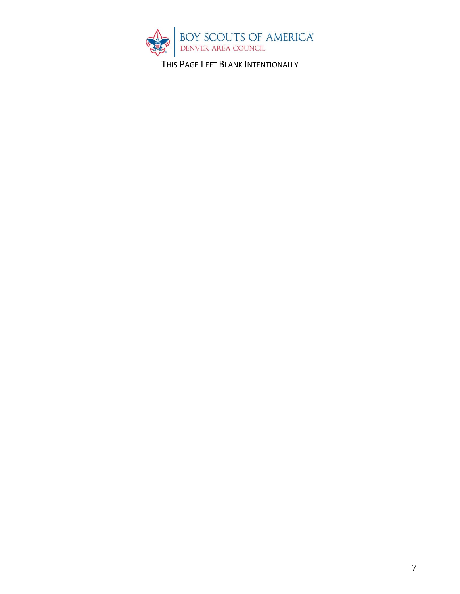

THIS PAGE LEFT BLANK INTENTIONALLY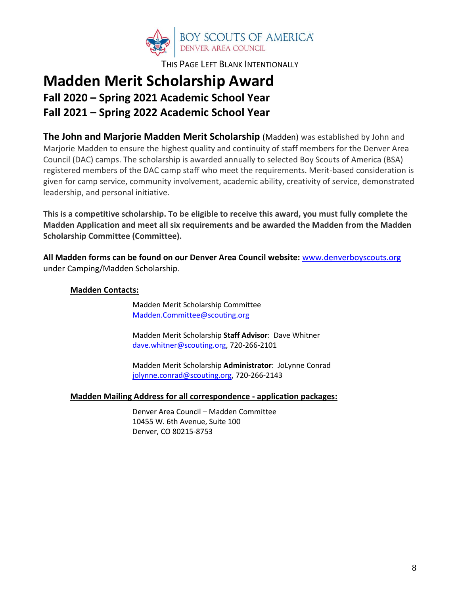

THIS PAGE LEFT BLANK INTENTIONALLY

# **Madden Merit Scholarship Award Fall 2020 – Spring 2021 Academic School Year Fall 2021 – Spring 2022 Academic School Year**

**The John and Marjorie Madden Merit Scholarship** (Madden) was established by John and Marjorie Madden to ensure the highest quality and continuity of staff members for the Denver Area Council (DAC) camps. The scholarship is awarded annually to selected Boy Scouts of America (BSA) registered members of the DAC camp staff who meet the requirements. Merit-based consideration is given for camp service, community involvement, academic ability, creativity of service, demonstrated leadership, and personal initiative.

**This is a competitive scholarship. To be eligible to receive this award, you must fully complete the Madden Application and meet all six requirements and be awarded the Madden from the Madden Scholarship Committee (Committee).**

**All Madden forms can be found on our Denver Area Council website:** [www.denverboyscouts.org](http://www.denverboyscouts.org/) under Camping/Madden Scholarship.

## **Madden Contacts:**

Madden Merit Scholarship Committee [Madden.Committee@scouting.org](mailto:Madden.Committee@scouting.org)

Madden Merit Scholarship **Staff Advisor**: Dave Whitner [dave.whitner@scouting.org,](mailto:dave.whitner@scouting.org) 720-266-2101

Madden Merit Scholarship **Administrator**: JoLynne Conrad [jolynne.conrad@scouting.org,](mailto:jolynne.conrad@scouting.org) 720-266-2143

#### **Madden Mailing Address for all correspondence - application packages:**

Denver Area Council – Madden Committee 10455 W. 6th Avenue, Suite 100 Denver, CO 80215-8753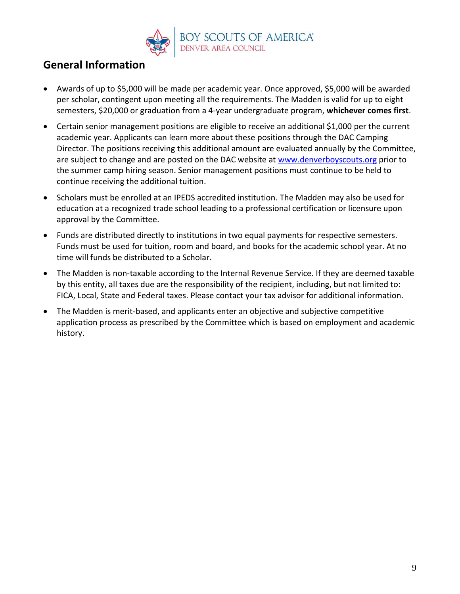

## **General Information**

- Awards of up to \$5,000 will be made per academic year. Once approved, \$5,000 will be awarded per scholar, contingent upon meeting all the requirements. The Madden is valid for up to eight semesters, \$20,000 or graduation from a 4-year undergraduate program, **whichever comes first**.
- Certain senior management positions are eligible to receive an additional \$1,000 per the current academic year. Applicants can learn more about these positions through the DAC Camping Director. The positions receiving this additional amount are evaluated annually by the Committee, are subject to change and are posted on the DAC website at [www.denverboyscouts.org](http://www.denverboyscouts.org/) prior to the summer camp hiring season. Senior management positions must continue to be held to continue receiving the additional tuition.
- Scholars must be enrolled at an IPEDS accredited institution. The Madden may also be used for education at a recognized trade school leading to a professional certification or licensure upon approval by the Committee.
- Funds are distributed directly to institutions in two equal payments for respective semesters. Funds must be used for tuition, room and board, and books for the academic school year. At no time will funds be distributed to a Scholar.
- The Madden is non-taxable according to the Internal Revenue Service. If they are deemed taxable by this entity, all taxes due are the responsibility of the recipient, including, but not limited to: FICA, Local, State and Federal taxes. Please contact your tax advisor for additional information.
- The Madden is merit-based, and applicants enter an objective and subjective competitive application process as prescribed by the Committee which is based on employment and academic history.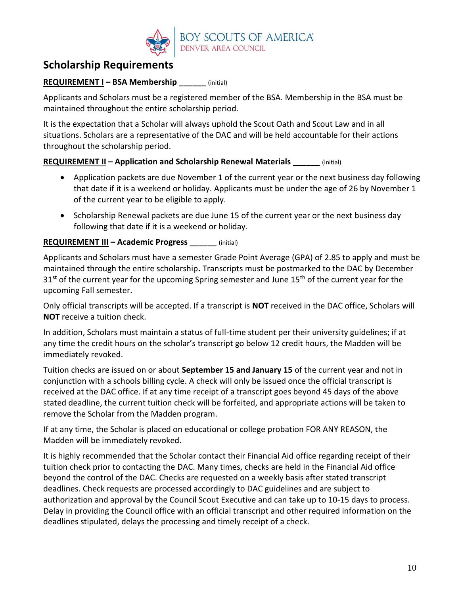

## **Scholarship Requirements**

## **REQUIREMENT I – BSA Membership \_\_\_\_\_\_** (initial)

Applicants and Scholars must be a registered member of the BSA. Membership in the BSA must be maintained throughout the entire scholarship period.

It is the expectation that a Scholar will always uphold the Scout Oath and Scout Law and in all situations. Scholars are a representative of the DAC and will be held accountable for their actions throughout the scholarship period.

#### **REQUIREMENT II – Application and Scholarship Renewal Materials \_\_\_\_\_\_** (initial)

- Application packets are due November 1 of the current year or the next business day following that date if it is a weekend or holiday. Applicants must be under the age of 26 by November 1 of the current year to be eligible to apply.
- Scholarship Renewal packets are due June 15 of the current year or the next business day following that date if it is a weekend or holiday.

## **REQUIREMENT III – Academic Progress \_\_\_\_\_\_** (initial)

Applicants and Scholars must have a semester Grade Point Average (GPA) of 2.85 to apply and must be maintained through the entire scholarship**.** Transcripts must be postmarked to the DAC by December 31**st** of the current year for the upcoming Spring semester and June 15th of the current year for the upcoming Fall semester.

Only official transcripts will be accepted. If a transcript is **NOT** received in the DAC office, Scholars will **NOT** receive a tuition check.

In addition, Scholars must maintain a status of full-time student per their university guidelines; if at any time the credit hours on the scholar's transcript go below 12 credit hours, the Madden will be immediately revoked.

Tuition checks are issued on or about **September 15 and January 15** of the current year and not in conjunction with a schools billing cycle. A check will only be issued once the official transcript is received at the DAC office. If at any time receipt of a transcript goes beyond 45 days of the above stated deadline, the current tuition check will be forfeited, and appropriate actions will be taken to remove the Scholar from the Madden program.

If at any time, the Scholar is placed on educational or college probation FOR ANY REASON, the Madden will be immediately revoked.

It is highly recommended that the Scholar contact their Financial Aid office regarding receipt of their tuition check prior to contacting the DAC. Many times, checks are held in the Financial Aid office beyond the control of the DAC. Checks are requested on a weekly basis after stated transcript deadlines. Check requests are processed accordingly to DAC guidelines and are subject to authorization and approval by the Council Scout Executive and can take up to 10-15 days to process. Delay in providing the Council office with an official transcript and other required information on the deadlines stipulated, delays the processing and timely receipt of a check.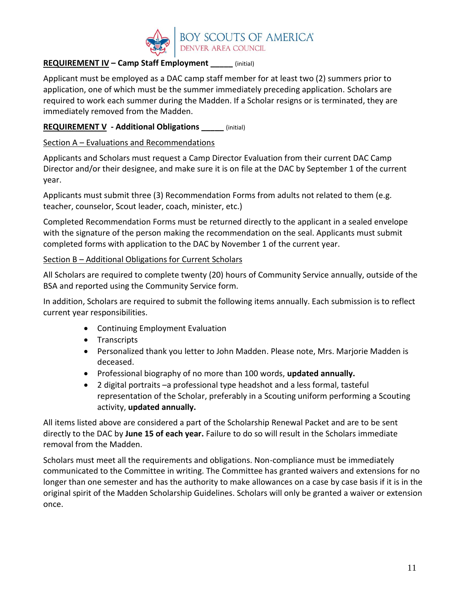

## **REQUIREMENT IV – Camp Staff Employment \_\_\_\_\_** (initial)

Applicant must be employed as a DAC camp staff member for at least two (2) summers prior to application, one of which must be the summer immediately preceding application. Scholars are required to work each summer during the Madden. If a Scholar resigns or is terminated, they are immediately removed from the Madden.

## **REQUIREMENT V - Additional Obligations \_\_\_\_\_** (initial)

## Section A – Evaluations and Recommendations

Applicants and Scholars must request a Camp Director Evaluation from their current DAC Camp Director and/or their designee, and make sure it is on file at the DAC by September 1 of the current year.

Applicants must submit three (3) Recommendation Forms from adults not related to them (e.g. teacher, counselor, Scout leader, coach, minister, etc.)

Completed Recommendation Forms must be returned directly to the applicant in a sealed envelope with the signature of the person making the recommendation on the seal. Applicants must submit completed forms with application to the DAC by November 1 of the current year.

## Section B – Additional Obligations for Current Scholars

All Scholars are required to complete twenty (20) hours of Community Service annually, outside of the BSA and reported using the Community Service form.

In addition, Scholars are required to submit the following items annually. Each submission is to reflect current year responsibilities.

- Continuing Employment Evaluation
- Transcripts
- Personalized thank you letter to John Madden. Please note, Mrs. Marjorie Madden is deceased.
- Professional biography of no more than 100 words, **updated annually.**
- 2 digital portraits –a professional type headshot and a less formal, tasteful representation of the Scholar, preferably in a Scouting uniform performing a Scouting activity, **updated annually.**

All items listed above are considered a part of the Scholarship Renewal Packet and are to be sent directly to the DAC by **June 15 of each year.** Failure to do so will result in the Scholars immediate removal from the Madden.

Scholars must meet all the requirements and obligations. Non-compliance must be immediately communicated to the Committee in writing. The Committee has granted waivers and extensions for no longer than one semester and has the authority to make allowances on a case by case basis if it is in the original spirit of the Madden Scholarship Guidelines. Scholars will only be granted a waiver or extension once.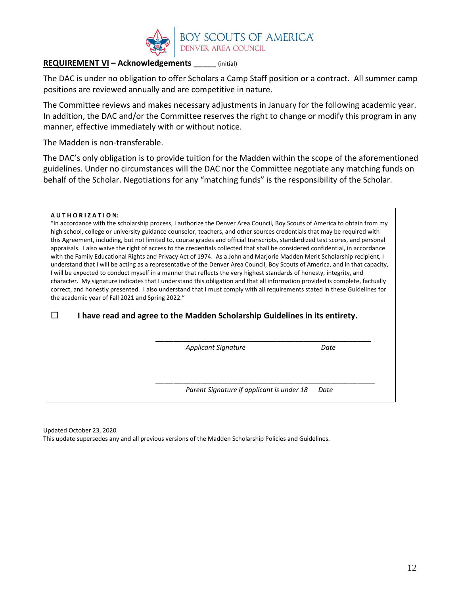

#### **REQUIREMENT VI – Acknowledgements \_\_\_\_\_** (initial)

The DAC is under no obligation to offer Scholars a Camp Staff position or a contract. All summer camp positions are reviewed annually and are competitive in nature.

The Committee reviews and makes necessary adjustments in January for the following academic year. In addition, the DAC and/or the Committee reserves the right to change or modify this program in any manner, effective immediately with or without notice.

The Madden is non-transferable.

The DAC's only obligation is to provide tuition for the Madden within the scope of the aforementioned guidelines. Under no circumstances will the DAC nor the Committee negotiate any matching funds on behalf of the Scholar. Negotiations for any "matching funds" is the responsibility of the Scholar.

#### **A U T H O R I Z A T I O N:**

"In accordance with the scholarship process, I authorize the Denver Area Council, Boy Scouts of America to obtain from my high school, college or university guidance counselor, teachers, and other sources credentials that may be required with this Agreement, including, but not limited to, course grades and official transcripts, standardized test scores, and personal appraisals. I also waive the right of access to the credentials collected that shall be considered confidential, in accordance with the Family Educational Rights and Privacy Act of 1974. As a John and Marjorie Madden Merit Scholarship recipient, I understand that I will be acting as a representative of the Denver Area Council, Boy Scouts of America, and in that capacity, I will be expected to conduct myself in a manner that reflects the very highest standards of honesty, integrity, and character. My signature indicates that I understand this obligation and that all information provided is complete, factually correct, and honestly presented. I also understand that I must comply with all requirements stated in these Guidelines for the academic year of Fall 2021 and Spring 2022."

**I have read and agree to the Madden Scholarship Guidelines in its entirety.**

*Applicant Signature Date*

\_\_\_\_\_\_\_\_\_\_\_\_\_\_\_\_\_\_\_\_\_\_\_\_\_\_\_\_\_\_\_\_\_\_\_\_\_\_\_\_\_\_\_\_\_\_\_\_

*Parent Signature if applicant is under 18 Date*

\_\_\_\_\_\_\_\_\_\_\_\_\_\_\_\_\_\_\_\_\_\_\_\_\_\_\_\_\_\_\_\_\_\_\_\_\_\_\_\_\_\_\_\_\_\_\_\_\_

Updated October 23, 2020

This update supersedes any and all previous versions of the Madden Scholarship Policies and Guidelines.